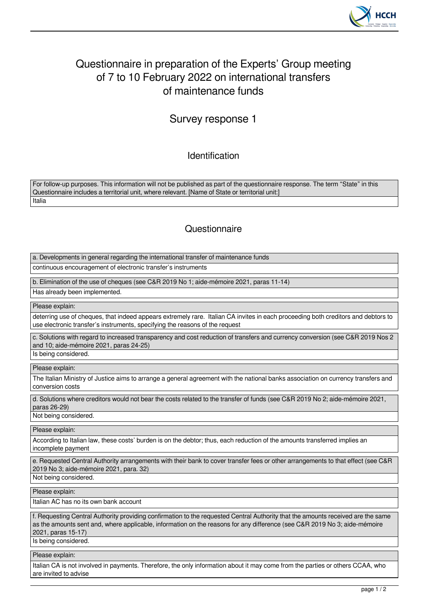

# Questionnaire in preparation of the Experts' Group meeting of 7 to 10 February 2022 on international transfers of maintenance funds

# Survey response 1

Identification

For follow-up purposes. This information will not be published as part of the questionnaire response. The term "State" in this Questionnaire includes a territorial unit, where relevant. [Name of State or territorial unit:] **Italia** 

# **Questionnaire**

| a. Developments in general regarding the international transfer of maintenance funds                                                                                                                                                                                                |
|-------------------------------------------------------------------------------------------------------------------------------------------------------------------------------------------------------------------------------------------------------------------------------------|
| continuous encouragement of electronic transfer's instruments                                                                                                                                                                                                                       |
| b. Elimination of the use of cheques (see C&R 2019 No 1; aide-mémoire 2021, paras 11-14)                                                                                                                                                                                            |
| Has already been implemented.                                                                                                                                                                                                                                                       |
| Please explain:                                                                                                                                                                                                                                                                     |
| deterring use of cheques, that indeed appears extremely rare. Italian CA invites in each proceeding both creditors and debtors to<br>use electronic transfer's instruments, specifying the reasons of the request                                                                   |
| c. Solutions with regard to increased transparency and cost reduction of transfers and currency conversion (see C&R 2019 Nos 2<br>and 10; aide-mémoire 2021, paras 24-25)                                                                                                           |
| Is being considered.                                                                                                                                                                                                                                                                |
| Please explain:                                                                                                                                                                                                                                                                     |
| The Italian Ministry of Justice aims to arrange a general agreement with the national banks association on currency transfers and<br>conversion costs                                                                                                                               |
| d. Solutions where creditors would not bear the costs related to the transfer of funds (see C&R 2019 No 2; aide-mémoire 2021,<br>paras 26-29)                                                                                                                                       |
| Not being considered.                                                                                                                                                                                                                                                               |
| Please explain:                                                                                                                                                                                                                                                                     |
| According to Italian law, these costs' burden is on the debtor; thus, each reduction of the amounts transferred implies an<br>incomplete payment                                                                                                                                    |
| e. Requested Central Authority arrangements with their bank to cover transfer fees or other arrangements to that effect (see C&R<br>2019 No 3; aide-mémoire 2021, para. 32)                                                                                                         |
| Not being considered.                                                                                                                                                                                                                                                               |
| Please explain:                                                                                                                                                                                                                                                                     |
| Italian AC has no its own bank account                                                                                                                                                                                                                                              |
| f. Requesting Central Authority providing confirmation to the requested Central Authority that the amounts received are the same<br>as the amounts sent and, where applicable, information on the reasons for any difference (see C&R 2019 No 3; aide-mémoire<br>2021, paras 15-17) |
| Is being considered.                                                                                                                                                                                                                                                                |
| Please explain:                                                                                                                                                                                                                                                                     |
| Italian CA is not involved in payments. Therefore, the only information about it may come from the parties or others CCAA, who<br>are invited to advise                                                                                                                             |